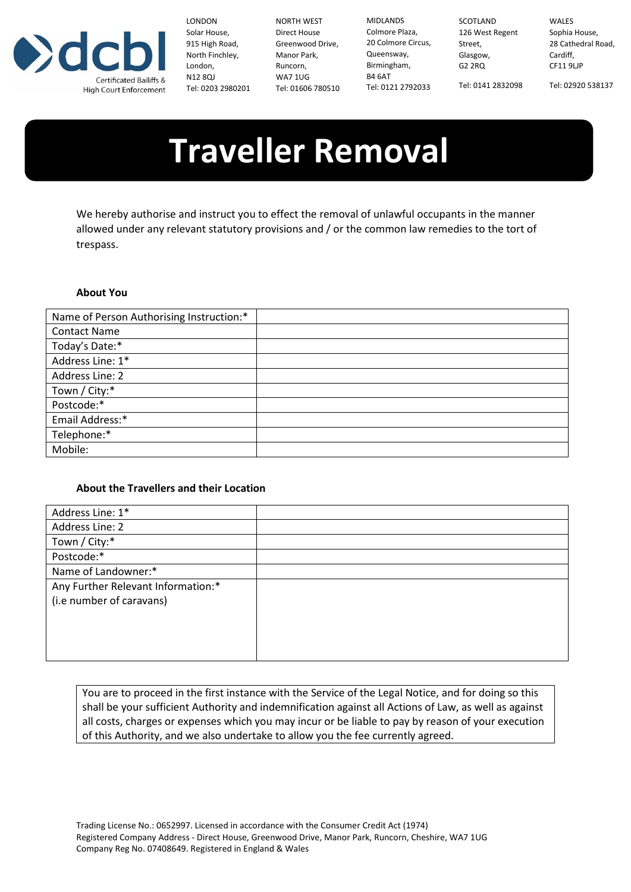

LONDON Solar House, 915 High Road, North Finchley, London, N12 8QJ Tel: 0203 2980201

NORTH WEST Direct House Greenwood Drive, Manor Park, Runcorn, WA7 1UG Tel: 01606 780510

MIDLANDS Colmore Plaza, 20 Colmore Circus, Street, Queensway, Birmingham, B4 6AT Tel: 0121 2792033

SCOTLAND 126 West Regent Glasgow, G2 2RQ Tel: 0141 2832098

WALES Sophia House, 28 Cathedral Road, Cardiff, CF11 9LJP

Tel: 02920 538137

## **Traveller Removal**

We hereby authorise and instruct you to effect the removal of unlawful occupants in the manner allowed under any relevant statutory provisions and / or the common law remedies to the tort of trespass.

## **About You**

| Name of Person Authorising Instruction:* |  |
|------------------------------------------|--|
| <b>Contact Name</b>                      |  |
| Today's Date:*                           |  |
| Address Line: 1*                         |  |
| Address Line: 2                          |  |
| Town / City:*                            |  |
| Postcode:*                               |  |
| Email Address:*                          |  |
| Telephone:*                              |  |
| Mobile:                                  |  |

## **About the Travellers and their Location**

| Address Line: 1*                   |  |
|------------------------------------|--|
| Address Line: 2                    |  |
| Town / City:*                      |  |
| Postcode:*                         |  |
| Name of Landowner:*                |  |
| Any Further Relevant Information:* |  |
| (i.e number of caravans)           |  |
|                                    |  |
|                                    |  |
|                                    |  |
|                                    |  |

You are to proceed in the first instance with the Service of the Legal Notice, and for doing so this shall be your sufficient Authority and indemnification against all Actions of Law, as well as against all costs, charges or expenses which you may incur or be liable to pay by reason of your execution of this Authority, and we also undertake to allow you the fee currently agreed.